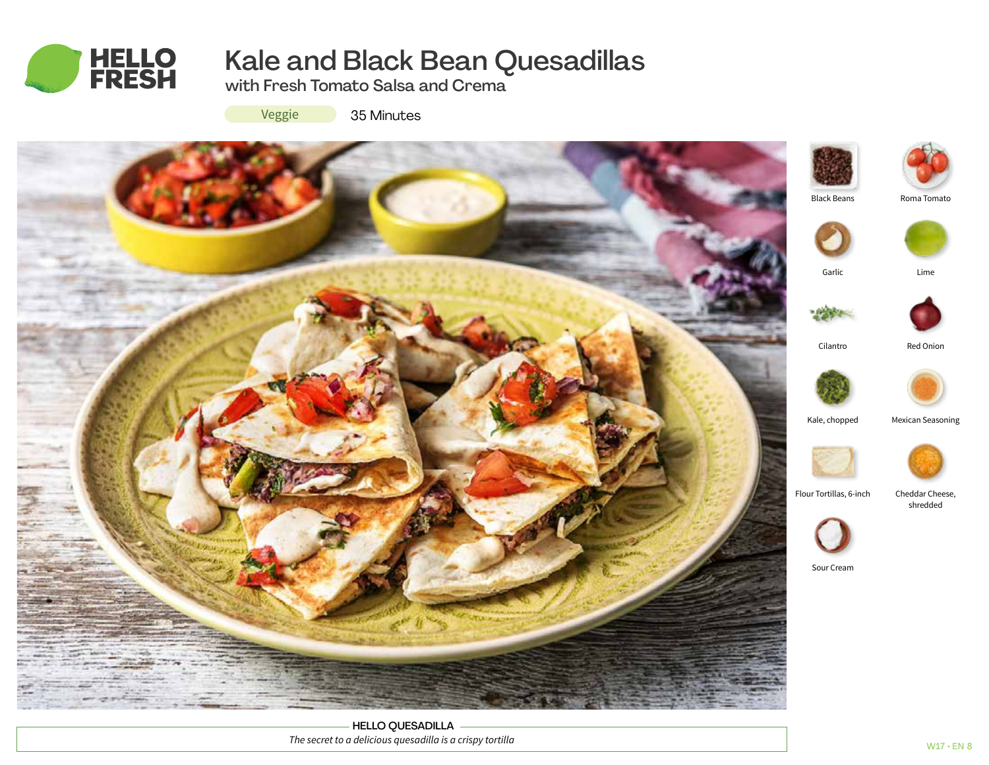

# Kale and Black Bean Quesadillas

with Fresh Tomato Salsa and Crema

Veggie

35 Minutes



HELLO QUESADILLA *The secret to a delicious quesadilla is a crispy tortilla*